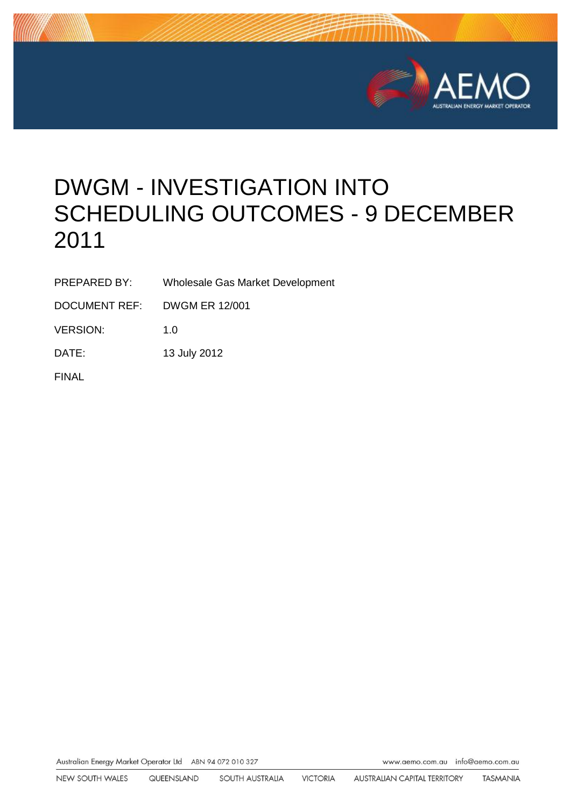

# DWGM - INVESTIGATION INTO SCHEDULING OUTCOMES - 9 DECEMBER 2011

PREPARED BY: Wholesale Gas Market Development

DOCUMENT REF: DWGM ER 12/001

VERSION: 1.0

DATE: 13 July 2012

FINAL

Australian Energy Market Operator Ltd ABN 94 072 010 327

www.aemo.com.au info@aemo.com.au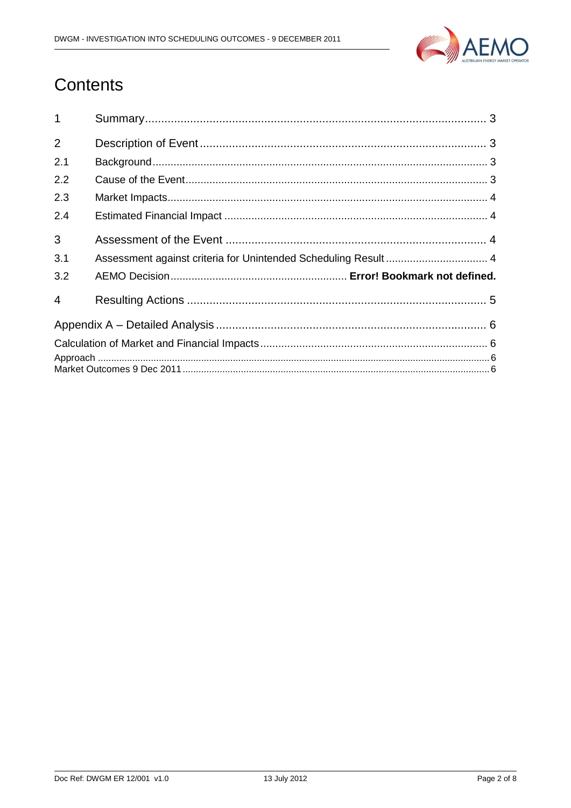

# Contents

| 1              |                                                                 |  |  |  |
|----------------|-----------------------------------------------------------------|--|--|--|
| $\overline{2}$ |                                                                 |  |  |  |
| 2.1            |                                                                 |  |  |  |
| 2.2            |                                                                 |  |  |  |
| 2.3            |                                                                 |  |  |  |
| 2.4            |                                                                 |  |  |  |
| 3              |                                                                 |  |  |  |
| 3.1            | Assessment against criteria for Unintended Scheduling Result  4 |  |  |  |
| 3.2            |                                                                 |  |  |  |
| 4              |                                                                 |  |  |  |
|                |                                                                 |  |  |  |
|                |                                                                 |  |  |  |
|                |                                                                 |  |  |  |
|                |                                                                 |  |  |  |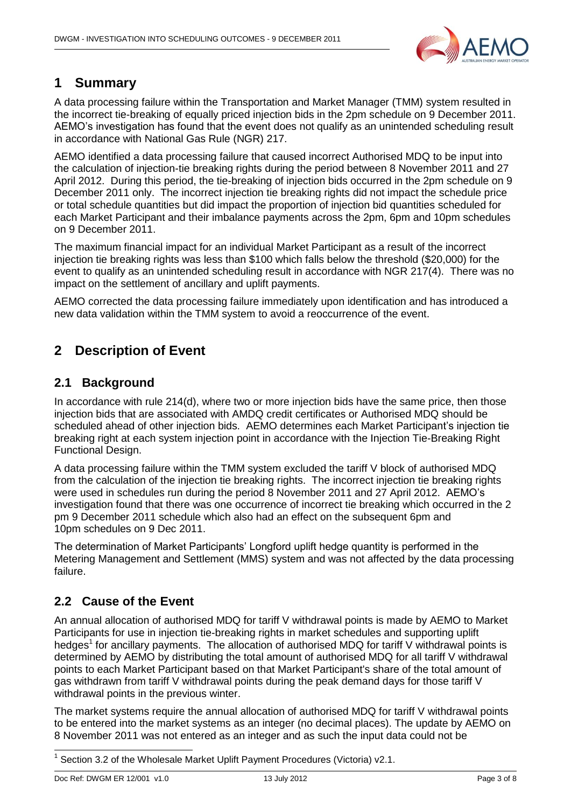

# <span id="page-2-0"></span>**1 Summary**

A data processing failure within the Transportation and Market Manager (TMM) system resulted in the incorrect tie-breaking of equally priced injection bids in the 2pm schedule on 9 December 2011. AEMO's investigation has found that the event does not qualify as an unintended scheduling result in accordance with National Gas Rule (NGR) 217.

AEMO identified a data processing failure that caused incorrect Authorised MDQ to be input into the calculation of injection-tie breaking rights during the period between 8 November 2011 and 27 April 2012. During this period, the tie-breaking of injection bids occurred in the 2pm schedule on 9 December 2011 only. The incorrect injection tie breaking rights did not impact the schedule price or total schedule quantities but did impact the proportion of injection bid quantities scheduled for each Market Participant and their imbalance payments across the 2pm, 6pm and 10pm schedules on 9 December 2011.

The maximum financial impact for an individual Market Participant as a result of the incorrect injection tie breaking rights was less than \$100 which falls below the threshold (\$20,000) for the event to qualify as an unintended scheduling result in accordance with NGR 217(4). There was no impact on the settlement of ancillary and uplift payments.

AEMO corrected the data processing failure immediately upon identification and has introduced a new data validation within the TMM system to avoid a reoccurrence of the event.

# <span id="page-2-1"></span>**2 Description of Event**

#### <span id="page-2-2"></span>**2.1 Background**

In accordance with rule 214(d), where two or more injection bids have the same price, then those injection bids that are associated with AMDQ credit certificates or Authorised MDQ should be scheduled ahead of other injection bids. AEMO determines each Market Participant's injection tie breaking right at each system injection point in accordance with the Injection Tie-Breaking Right Functional Design.

A data processing failure within the TMM system excluded the tariff V block of authorised MDQ from the calculation of the injection tie breaking rights. The incorrect injection tie breaking rights were used in schedules run during the period 8 November 2011 and 27 April 2012. AEMO's investigation found that there was one occurrence of incorrect tie breaking which occurred in the 2 pm 9 December 2011 schedule which also had an effect on the subsequent 6pm and 10pm schedules on 9 Dec 2011.

The determination of Market Participants' Longford uplift hedge quantity is performed in the Metering Management and Settlement (MMS) system and was not affected by the data processing failure.

# <span id="page-2-3"></span>**2.2 Cause of the Event**

An annual allocation of authorised MDQ for tariff V withdrawal points is made by AEMO to Market Participants for use in injection tie-breaking rights in market schedules and supporting uplift hedges<sup>1</sup> for ancillary payments. The allocation of authorised MDQ for tariff V withdrawal points is determined by AEMO by distributing the total amount of authorised MDQ for all tariff V withdrawal points to each Market Participant based on that Market Participant's share of the total amount of gas withdrawn from tariff V withdrawal points during the peak demand days for those tariff V withdrawal points in the previous winter.

The market systems require the annual allocation of authorised MDQ for tariff V withdrawal points to be entered into the market systems as an integer (no decimal places). The update by AEMO on 8 November 2011 was not entered as an integer and as such the input data could not be

<sup>-</sup>1 Section 3.2 of the Wholesale Market Uplift Payment Procedures (Victoria) v2.1.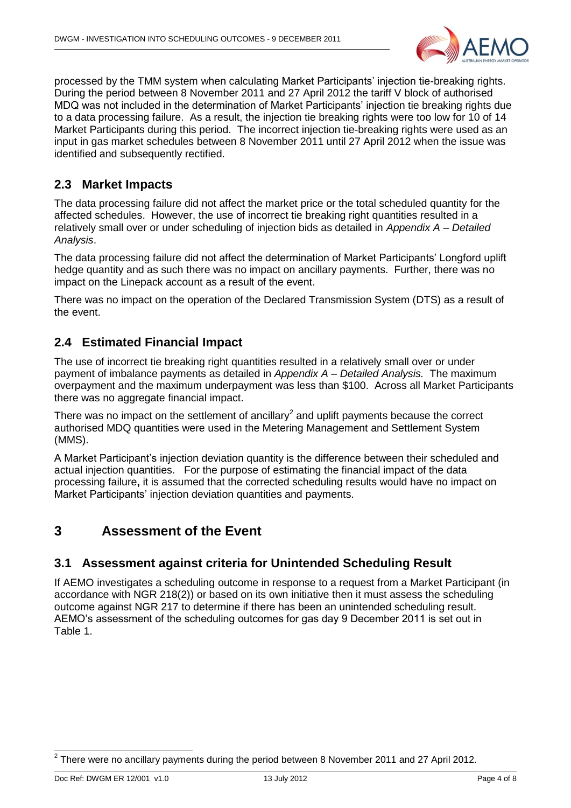

processed by the TMM system when calculating Market Participants' injection tie-breaking rights. During the period between 8 November 2011 and 27 April 2012 the tariff V block of authorised MDQ was not included in the determination of Market Participants' injection tie breaking rights due to a data processing failure. As a result, the injection tie breaking rights were too low for 10 of 14 Market Participants during this period. The incorrect injection tie-breaking rights were used as an input in gas market schedules between 8 November 2011 until 27 April 2012 when the issue was identified and subsequently rectified.

#### <span id="page-3-0"></span>**2.3 Market Impacts**

The data processing failure did not affect the market price or the total scheduled quantity for the affected schedules. However, the use of incorrect tie breaking right quantities resulted in a relatively small over or under scheduling of injection bids as detailed in *[Appendix A –](#page-5-0) Detailed [Analysis](#page-5-0)*.

The data processing failure did not affect the determination of Market Participants' Longford uplift hedge quantity and as such there was no impact on ancillary payments. Further, there was no impact on the Linepack account as a result of the event.

There was no impact on the operation of the Declared Transmission System (DTS) as a result of the event.

## <span id="page-3-1"></span>**2.4 Estimated Financial Impact**

The use of incorrect tie breaking right quantities resulted in a relatively small over or under payment of imbalance payments as detailed in *Appendix A – [Detailed Analysis.](#page-5-0)* The maximum overpayment and the maximum underpayment was less than \$100. Across all Market Participants there was no aggregate financial impact.

There was no impact on the settlement of ancillary<sup>2</sup> and uplift payments because the correct authorised MDQ quantities were used in the Metering Management and Settlement System (MMS).

A Market Participant's injection deviation quantity is the difference between their scheduled and actual injection quantities. For the purpose of estimating the financial impact of the data processing failure**,** it is assumed that the corrected scheduling results would have no impact on Market Participants' injection deviation quantities and payments.

## <span id="page-3-2"></span>**3 Assessment of the Event**

#### <span id="page-3-3"></span>**3.1 Assessment against criteria for Unintended Scheduling Result**

If AEMO investigates a scheduling outcome in response to a request from a Market Participant (in accordance with NGR 218(2)) or based on its own initiative then it must assess the scheduling outcome against NGR 217 to determine if there has been an unintended scheduling result. AEMO's assessment of the scheduling outcomes for gas day 9 December 2011 is set out in [Table 1.](#page-4-1)

 2 There were no ancillary payments during the period between 8 November 2011 and 27 April 2012.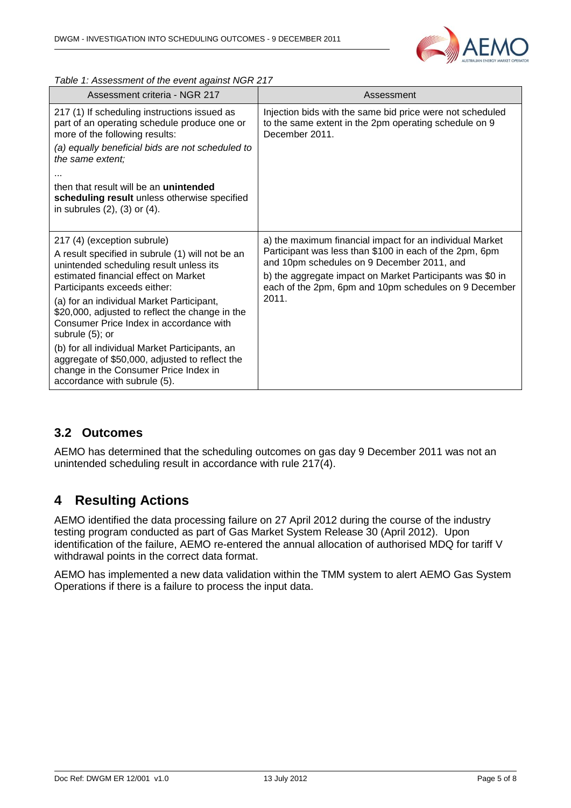

<span id="page-4-1"></span>*Table 1: Assessment of the event against NGR 217*

| Assessment criteria - NGR 217                                                                                                                                                                                                                                                                                                                                                                                                                                                                                                                 | Assessment                                                                                                                                                                                                                                                                                       |  |
|-----------------------------------------------------------------------------------------------------------------------------------------------------------------------------------------------------------------------------------------------------------------------------------------------------------------------------------------------------------------------------------------------------------------------------------------------------------------------------------------------------------------------------------------------|--------------------------------------------------------------------------------------------------------------------------------------------------------------------------------------------------------------------------------------------------------------------------------------------------|--|
| 217 (1) If scheduling instructions issued as<br>part of an operating schedule produce one or<br>more of the following results:<br>(a) equally beneficial bids are not scheduled to<br>the same extent;<br>.<br>then that result will be an <b>unintended</b><br>scheduling result unless otherwise specified<br>in subrules $(2)$ , $(3)$ or $(4)$ .                                                                                                                                                                                          | Injection bids with the same bid price were not scheduled<br>to the same extent in the 2pm operating schedule on 9<br>December 2011.                                                                                                                                                             |  |
| 217 (4) (exception subrule)<br>A result specified in subrule (1) will not be an<br>unintended scheduling result unless its<br>estimated financial effect on Market<br>Participants exceeds either:<br>(a) for an individual Market Participant,<br>\$20,000, adjusted to reflect the change in the<br>Consumer Price Index in accordance with<br>subrule (5); or<br>(b) for all individual Market Participants, an<br>aggregate of \$50,000, adjusted to reflect the<br>change in the Consumer Price Index in<br>accordance with subrule (5). | a) the maximum financial impact for an individual Market<br>Participant was less than \$100 in each of the 2pm, 6pm<br>and 10pm schedules on 9 December 2011, and<br>b) the aggregate impact on Market Participants was \$0 in<br>each of the 2pm, 6pm and 10pm schedules on 9 December<br>2011. |  |

#### **3.2 Outcomes**

AEMO has determined that the scheduling outcomes on gas day 9 December 2011 was not an unintended scheduling result in accordance with rule 217(4).

## <span id="page-4-0"></span>**4 Resulting Actions**

AEMO identified the data processing failure on 27 April 2012 during the course of the industry testing program conducted as part of Gas Market System Release 30 (April 2012). Upon identification of the failure, AEMO re-entered the annual allocation of authorised MDQ for tariff V withdrawal points in the correct data format.

AEMO has implemented a new data validation within the TMM system to alert AEMO Gas System Operations if there is a failure to process the input data.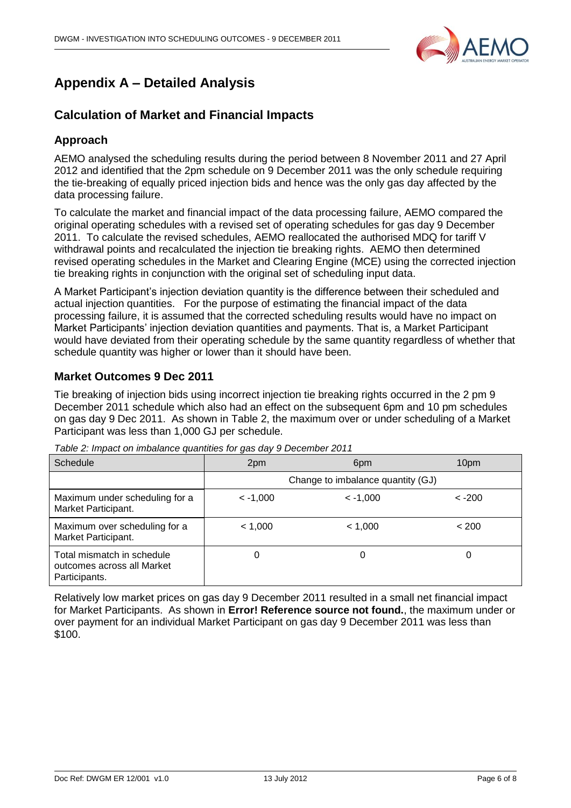

# <span id="page-5-0"></span>**Appendix A – Detailed Analysis**

#### <span id="page-5-1"></span>**Calculation of Market and Financial Impacts**

#### <span id="page-5-2"></span>**Approach**

AEMO analysed the scheduling results during the period between 8 November 2011 and 27 April 2012 and identified that the 2pm schedule on 9 December 2011 was the only schedule requiring the tie-breaking of equally priced injection bids and hence was the only gas day affected by the data processing failure.

To calculate the market and financial impact of the data processing failure, AEMO compared the original operating schedules with a revised set of operating schedules for gas day 9 December 2011. To calculate the revised schedules, AEMO reallocated the authorised MDQ for tariff V withdrawal points and recalculated the injection tie breaking rights. AEMO then determined revised operating schedules in the Market and Clearing Engine (MCE) using the corrected injection tie breaking rights in conjunction with the original set of scheduling input data.

A Market Participant's injection deviation quantity is the difference between their scheduled and actual injection quantities. For the purpose of estimating the financial impact of the data processing failure, it is assumed that the corrected scheduling results would have no impact on Market Participants' injection deviation quantities and payments. That is, a Market Participant would have deviated from their operating schedule by the same quantity regardless of whether that schedule quantity was higher or lower than it should have been.

#### <span id="page-5-3"></span>**Market Outcomes 9 Dec 2011**

Tie breaking of injection bids using incorrect injection tie breaking rights occurred in the 2 pm 9 December 2011 schedule which also had an effect on the subsequent 6pm and 10 pm schedules on gas day 9 Dec 2011. As shown in [Table 2,](#page-5-4) the maximum over or under scheduling of a Market Participant was less than 1,000 GJ per schedule.

| Schedule                                                                  | 2pm        | 6 <sub>pm</sub>                   | 10pm     |
|---------------------------------------------------------------------------|------------|-----------------------------------|----------|
|                                                                           |            | Change to imbalance quantity (GJ) |          |
| Maximum under scheduling for a<br>Market Participant.                     | $< -1,000$ | $\leq -1.000$                     | $< -200$ |
| Maximum over scheduling for a<br>Market Participant.                      | < 1,000    | < 1.000                           | < 200    |
| Total mismatch in schedule<br>outcomes across all Market<br>Participants. | 0          | 0                                 |          |

<span id="page-5-4"></span>*Table 2: Impact on imbalance quantities for gas day 9 December 2011*

Relatively low market prices on gas day 9 December 2011 resulted in a small net financial impact for Market Participants. As shown in **Error! Reference source not found.**, the maximum under or over payment for an individual Market Participant on gas day 9 December 2011 was less than \$100.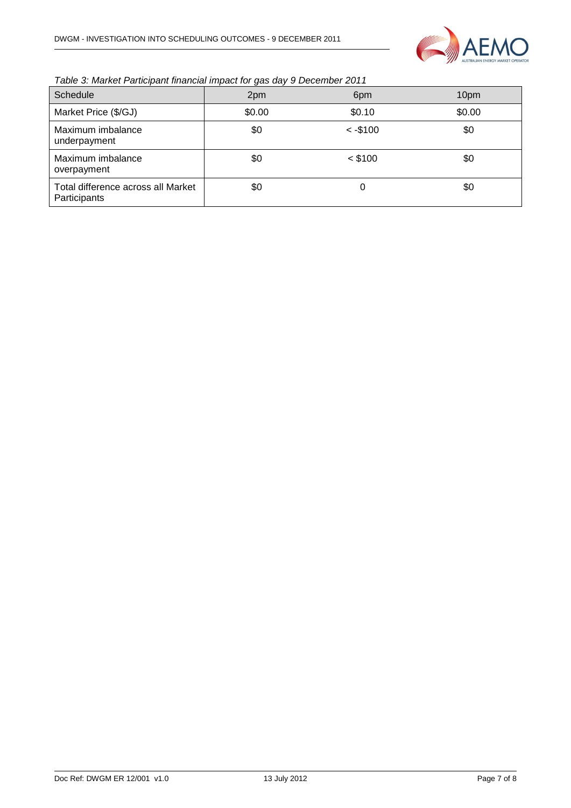

*Table 3: Market Participant financial impact for gas day 9 December 2011*

| Schedule                                           | 2pm    | 6pm        | 10pm   |
|----------------------------------------------------|--------|------------|--------|
| Market Price (\$/GJ)                               | \$0.00 | \$0.10     | \$0.00 |
| Maximum imbalance<br>underpayment                  | \$0    | $< -\$100$ | \$0    |
| Maximum imbalance<br>overpayment                   | \$0    | $<$ \$100  | \$0    |
| Total difference across all Market<br>Participants | \$0    | 0          | \$0    |